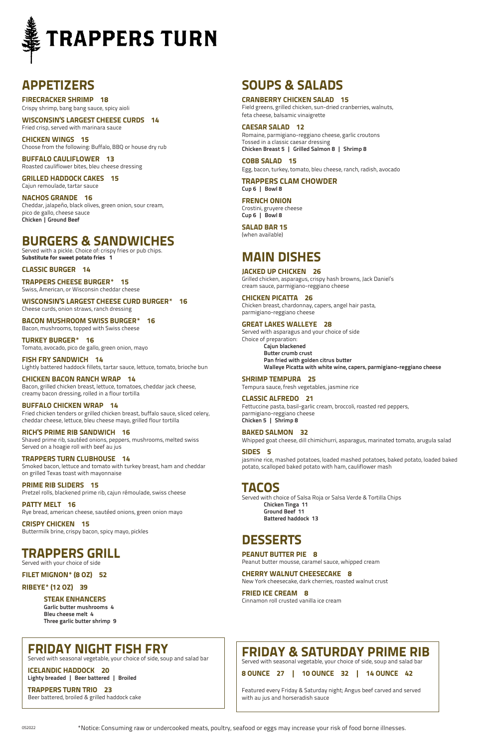<sup>052022</sup> \*Notice: Consuming raw or undercooked meats, poultry, seafood or eggs may increase your risk of food borne illnesses.

## **FRIDAY NIGHT FISH FRY**

Served with seasonal vegetable, your choice of side, soup and salad bar

**ICELANDIC HADDOCK 20 Lighty breaded | Beer battered | Broiled**

**TRAPPERS TURN TRIO 23** Beer battered, broiled & grilled haddock cake



## **APPETIZERS**

**FIRECRACKER SHRIMP 18** Crispy shrimp, bang bang sauce, spicy aioli

**WISCONSIN'S LARGEST CHEESE CURDS 14** Fried crisp, served with marinara sauce

**CHICKEN WINGS 15** Choose from the following: Buffalo, BBQ or house dry rub

**BUFFALO CAULIFLOWER 13** Roasted cauliflower bites, bleu cheese dressing

**GRILLED HADDOCK CAKES 15** Cajun remoulade, tartar sauce

**NACHOS GRANDE 16** Cheddar, jalapeño, black olives, green onion, sour cream, pico de gallo, cheese sauce **Chicken | Ground Beef**

## **BURGERS & SANDWICHES**

Served with a pickle. Choice of: crispy fries or pub chips. **Substitute for sweet potato fries 1**

**CLASSIC BURGER 14**

**TRAPPERS CHEESE BURGER\* 15**  Swiss, American, or Wisconsin cheddar cheese

**WISCONSIN'S LARGEST CHEESE CURD BURGER\* 16** Cheese curds, onion straws, ranch dressing

**BACON MUSHROOM SWISS BURGER\* 16** Bacon, mushrooms, topped with Swiss cheese

**TURKEY BURGER\* 16**  Tomato, avocado, pico de gallo, green onion, mayo

**FISH FRY SANDWICH 14**  Lightly battered haddock fillets, tartar sauce, lettuce, tomato, brioche bun

**CHICKEN BACON RANCH WRAP 14**  Bacon, grilled chicken breast, lettuce, tomatoes, cheddar jack cheese, creamy bacon dressing, rolled in a flour tortilla

#### **BUFFALO CHICKEN WRAP 14**

Fried chicken tenders or grilled chicken breast, buffalo sauce, sliced celery, cheddar cheese, lettuce, bleu cheese mayo, grilled flour tortilla

#### **RICH'S PRIME RIB SANDWICH 16**

Shaved prime rib, sautéed onions, peppers, mushrooms, melted swiss Served on a hoagie roll with beef au jus

**TRAPPERS TURN CLUBHOUSE 14** 

Smoked bacon, lettuce and tomato with turkey breast, ham and cheddar on grilled Texas toast with mayonnaise

**PRIME RIB SLIDERS 15**  Pretzel rolls, blackened prime rib, cajun rémoulade, swiss cheese

**PATTY MELT 16**  Rye bread, american cheese, sautéed onions, green onion mayo

**CRISPY CHICKEN 15**  Buttermilk brine, crispy bacon, spicy mayo, pickles

**TRAPPERS GRILL** Served with your choice of side

**FILET MIGNON\* (8 OZ) 52** 

**RIBEYE\* (12 OZ) 39** 

#### **STEAK ENHANCERS**

**Garlic butter mushrooms 4 Bleu cheese melt 4 Three garlic butter shrimp 9** 

## **FRIDAY & SATURDAY PRIME RIB**

Served with seasonal vegetable, your choice of side, soup and salad bar

**8 OUNCE 27 | 10 OUNCE 32 | 14 OUNCE 42**

Featured every Friday & Saturday night; Angus beef carved and served with au jus and horseradish sauce

## **DESSERTS**

#### **PEANUT BUTTER PIE 8** Peanut butter mousse, caramel sauce, whipped cream

#### **CHERRY WALNUT CHEESECAKE 8**

New York cheesecake, dark cherries, roasted walnut crust

**FRIED ICE CREAM 8** Cinnamon roll crusted vanilla ice cream

## **MAIN DISHES**

#### **JACKED UP CHICKEN 26**

Grilled chicken, asparagus, crispy hash browns, Jack Daniel's cream sauce, parmigiano-reggiano cheese

#### **CHICKEN PICATTA 26**

Chicken breast, chardonnay, capers, angel hair pasta, parmigiano-reggiano cheese

#### **GREAT LAKES WALLEYE 28**

Served with asparagus and your choice of side Choice of preparation: **Cajun blackened Butter crumb crust Pan fried with golden citrus butter Walleye Picatta with white wine, capers, parmigiano-reggiano cheese**

#### **SHRIMP TEMPURA 25**

Tempura sauce, fresh vegetables, jasmine rice

#### **CLASSIC ALFREDO 21**

Fettuccine pasta, basil-garlic cream, broccoli, roasted red peppers, parmigiano-reggiano cheese **Chicken 5 | Shrimp 8**

#### **BAKED SALMON 32**

Whipped goat cheese, dill chimichurri, asparagus, marinated tomato, arugula salad

#### **SIDES 5**

jasmine rice, mashed potatoes, loaded mashed potatoes, baked potato, loaded baked potato, scalloped baked potato with ham, cauliflower mash

## **SOUPS & SALADS**

#### **CRANBERRY CHICKEN SALAD 15**

Field greens, grilled chicken, sun-dried cranberries, walnuts, feta cheese, balsamic vinaigrette

#### **CAESAR SALAD 12**

Romaine, parmigiano-reggiano cheese, garlic croutons Tossed in a classic caesar dressing **Chicken Breast 5 | Grilled Salmon 8 | Shrimp 8** 

**COBB SALAD 15**

Egg, bacon, turkey, tomato, bleu cheese, ranch, radish, avocado

**TRAPPERS CLAM CHOWDER Cup 6 | Bowl 8**

#### **FRENCH ONION**

Crostini, gruyere cheese **Cup 6 | Bowl 8**

**SALAD BAR 15** 

(when available)

## **TACOS**

Served with choice of Salsa Roja or Salsa Verde & Tortilla Chips **Chicken Tinga 11 Ground Beef 11 Battered haddock 13**